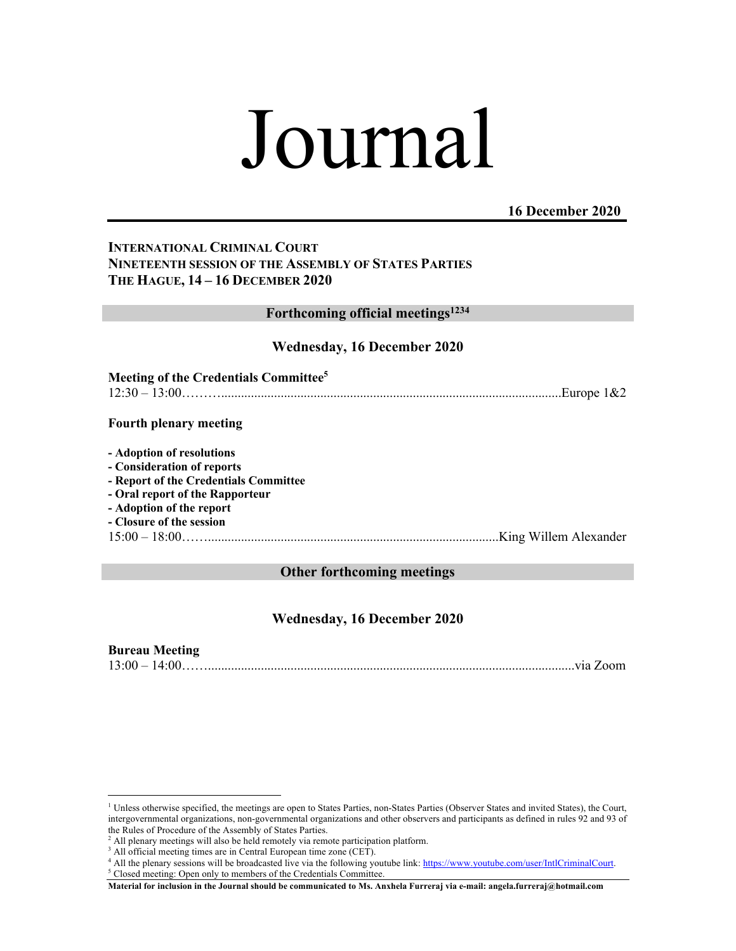# Journal

# **16 December 2020**

# **INTERNATIONAL CRIMINAL COURT NINETEENTH SESSION OF THE ASSEMBLY OF STATES PARTIES THE HAGUE, 14 – 16 DECEMBER 2020**

## **Forthcoming official meetings1234**

### **Wednesday, 16 December 2020**

| Meeting of the Credentials Committee <sup>5</sup> |                             |
|---------------------------------------------------|-----------------------------|
|                                                   | $12:30-13:00$ Europe $1&82$ |

#### **Fourth plenary meeting**

**- Adoption of resolutions** 

- **- Consideration of reports**
- **- Report of the Credentials Committee**
- **- Oral report of the Rapporteur**
- **- Adoption of the report**
- **- Closure of the session**

15:00 – 18:00……........................................................................................King Willem Alexander

## **Other forthcoming meetings**

# **Wednesday, 16 December 2020**

## **Bureau Meeting**

13:00 – 14:00……...............................................................................................................via Zoom

<sup>&</sup>lt;sup>1</sup> Unless otherwise specified, the meetings are open to States Parties, non-States Parties (Observer States and invited States), the Court, intergovernmental organizations, non-governmental organizations and other observers and participants as defined in rules 92 and 93 of the Rules of Procedure of the Assembly of States Parties.

 $2$  All plenary meetings will also be held remotely via remote participation platform.

<sup>&</sup>lt;sup>3</sup> All official meeting times are in Central European time zone (CET).

<sup>&</sup>lt;sup>4</sup> All the plenary sessions will be broadcasted live via the following youtube link: https://www.youtube.com/user/IntlCriminalCourt. <sup>5</sup> Closed meeting: Open only to members of the Credentials Committee.

**Material for inclusion in the Journal should be communicated to Ms. Anxhela Furreraj via e-mail: angela.furreraj@hotmail.com**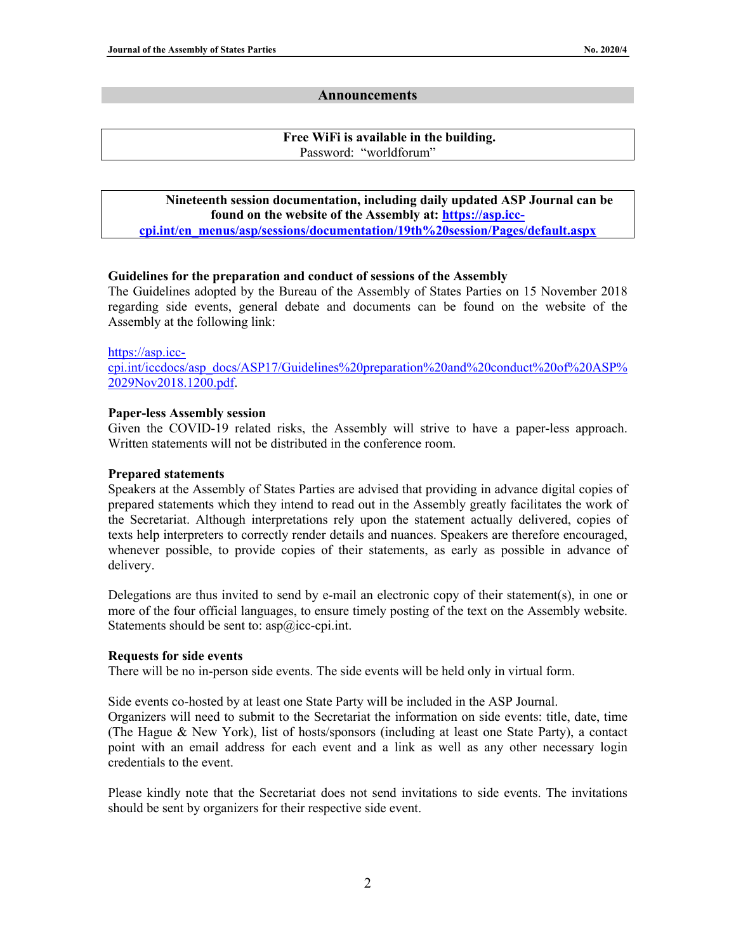#### **Announcements**

#### **Free WiFi is available in the building.** Password: "worldforum"

#### **Nineteenth session documentation, including daily updated ASP Journal can be found on the website of the Assembly at: https://asp.icccpi.int/en\_menus/asp/sessions/documentation/19th%20session/Pages/default.aspx**

#### **Guidelines for the preparation and conduct of sessions of the Assembly**

The Guidelines adopted by the Bureau of the Assembly of States Parties on 15 November 2018 regarding side events, general debate and documents can be found on the website of the Assembly at the following link:

#### https://asp.icc-

cpi.int/iccdocs/asp\_docs/ASP17/Guidelines%20preparation%20and%20conduct%20of%20ASP% 2029Nov2018.1200.pdf.

#### **Paper-less Assembly session**

Given the COVID-19 related risks, the Assembly will strive to have a paper-less approach. Written statements will not be distributed in the conference room.

#### **Prepared statements**

Speakers at the Assembly of States Parties are advised that providing in advance digital copies of prepared statements which they intend to read out in the Assembly greatly facilitates the work of the Secretariat. Although interpretations rely upon the statement actually delivered, copies of texts help interpreters to correctly render details and nuances. Speakers are therefore encouraged, whenever possible, to provide copies of their statements, as early as possible in advance of delivery.

Delegations are thus invited to send by e-mail an electronic copy of their statement(s), in one or more of the four official languages, to ensure timely posting of the text on the Assembly website. Statements should be sent to:  $asp@icc\text{-}epi.int.$ 

#### **Requests for side events**

There will be no in-person side events. The side events will be held only in virtual form.

Side events co-hosted by at least one State Party will be included in the ASP Journal. Organizers will need to submit to the Secretariat the information on side events: title, date, time

(The Hague & New York), list of hosts/sponsors (including at least one State Party), a contact point with an email address for each event and a link as well as any other necessary login credentials to the event.

Please kindly note that the Secretariat does not send invitations to side events. The invitations should be sent by organizers for their respective side event.